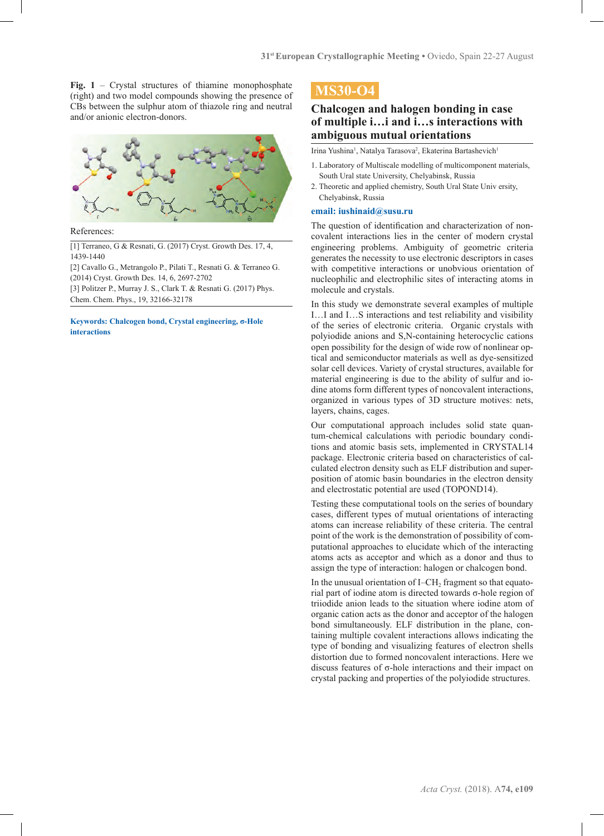**Fig. 1** – Crystal structures of thiamine monophosphate (right) and two model compounds showing the presence of CBs between the sulphur atom of thiazole ring and neutral and/or anionic electron-donors.



References:

[1] Terraneo, G & Resnati, G. (2017) Cryst. Growth Des. 17, 4, 1439-1440

[2] Cavallo G., Metrangolo P., Pilati T., Resnati G. & Terraneo G. (2014) Cryst. Growth Des. 14, 6, 2697-2702

[3] Politzer P., Murray J. S., Clark T. & Resnati G. (2017) Phys. Chem. Chem. Phys., 19, 32166-32178

**Keywords: Chalcogen bond, Crystal engineering, σ-Hole interactions**

# **MS30-O4**

### **Chalcogen and halogen bonding in case of multiple i…i and i…s interactions with ambiguous mutual orientations**

Irina Yushina<sup>1</sup>, Natalya Tarasova<sup>2</sup>, Ekaterina Bartashevich<sup>1</sup>

- 1. Laboratory of Multiscale modelling of multicomponent materials, South Ural state University, Chelyabinsk, Russia
- 2. Theoretic and applied chemistry, South Ural State Univ ersity, Chelyabinsk, Russia

### **email: iushinaid@susu.ru**

The question of identification and characterization of noncovalent interactions lies in the center of modern crystal engineering problems. Ambiguity of geometric criteria generates the necessity to use electronic descriptors in cases with competitive interactions or unobvious orientation of nucleophilic and electrophilic sites of interacting atoms in molecule and crystals.

In this study we demonstrate several examples of multiple I…I and I…S interactions and test reliability and visibility of the series of electronic criteria. Organic crystals with polyiodide anions and S,N-containing heterocyclic cations open possibility for the design of wide row of nonlinear optical and semiconductor materials as well as dye-sensitized solar cell devices. Variety of crystal structures, available for material engineering is due to the ability of sulfur and iodine atoms form different types of noncovalent interactions, organized in various types of 3D structure motives: nets, layers, chains, cages.

Our computational approach includes solid state quantum-chemical calculations with periodic boundary conditions and atomic basis sets, implemented in CRYSTAL14 package. Electronic criteria based on characteristics of calculated electron density such as ELF distribution and superposition of atomic basin boundaries in the electron density and electrostatic potential are used (TOPOND14).

Testing these computational tools on the series of boundary cases, different types of mutual orientations of interacting atoms can increase reliability of these criteria. The central point of the work is the demonstration of possibility of computational approaches to elucidate which of the interacting atoms acts as acceptor and which as a donor and thus to assign the type of interaction: halogen or chalcogen bond.

In the unusual orientation of I–CH<sub>2</sub> fragment so that equatorial part of iodine atom is directed towards σ-hole region of triiodide anion leads to the situation where iodine atom of organic cation acts as the donor and acceptor of the halogen bond simultaneously. ELF distribution in the plane, containing multiple covalent interactions allows indicating the type of bonding and visualizing features of electron shells distortion due to formed noncovalent interactions. Here we discuss features of σ-hole interactions and their impact on crystal packing and properties of the polyiodide structures.